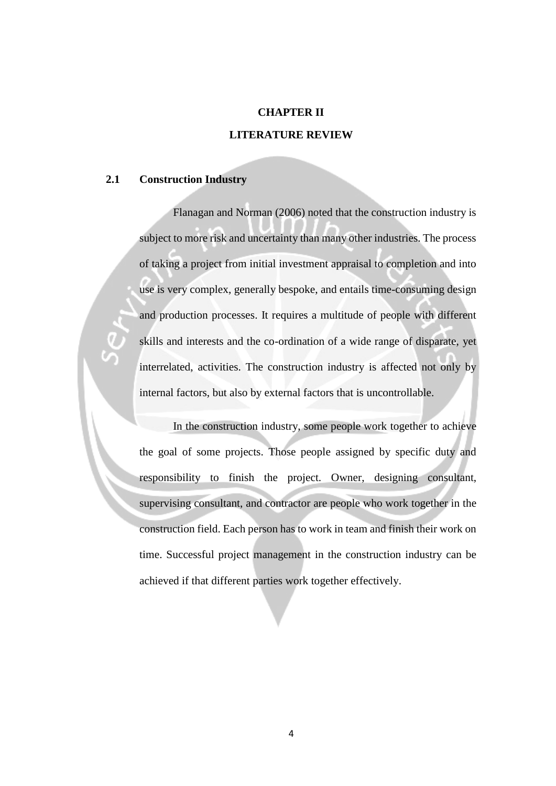## **CHAPTER II**

## **LITERATURE REVIEW**

### **2.1 Construction Industry**

Flanagan and Norman (2006) noted that the construction industry is subject to more risk and uncertainty than many other industries. The process of taking a project from initial investment appraisal to completion and into use is very complex, generally bespoke, and entails time-consuming design and production processes. It requires a multitude of people with different skills and interests and the co-ordination of a wide range of disparate, yet interrelated, activities. The construction industry is affected not only by internal factors, but also by external factors that is uncontrollable.

In the construction industry, some people work together to achieve the goal of some projects. Those people assigned by specific duty and responsibility to finish the project. Owner, designing consultant, supervising consultant, and contractor are people who work together in the construction field. Each person has to work in team and finish their work on time. Successful project management in the construction industry can be achieved if that different parties work together effectively.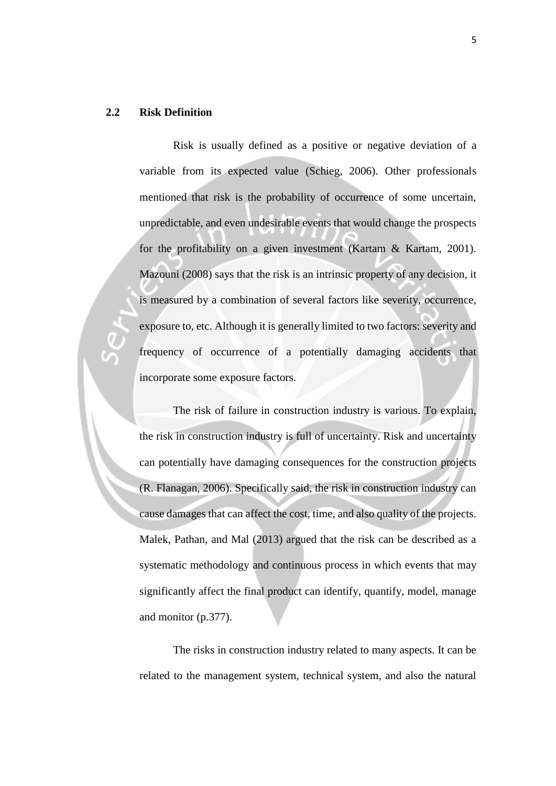## **2.2 Risk Definition**

Risk is usually defined as a positive or negative deviation of a variable from its expected value (Schieg, 2006). Other professionals mentioned that risk is the probability of occurrence of some uncertain, unpredictable, and even undesirable events that would change the prospects for the profitability on a given investment (Kartam & Kartam, 2001). Mazouni (2008) says that the risk is an intrinsic property of any decision, it is measured by a combination of several factors like severity, occurrence, exposure to, etc. Although it is generally limited to two factors: severity and frequency of occurrence of a potentially damaging accidents that incorporate some exposure factors.

The risk of failure in construction industry is various. To explain, the risk in construction industry is full of uncertainty. Risk and uncertainty can potentially have damaging consequences for the construction projects (R. Flanagan, 2006). Specifically said, the risk in construction industry can cause damages that can affect the cost, time, and also quality of the projects. Malek, Pathan, and Mal (2013) argued that the risk can be described as a systematic methodology and continuous process in which events that may significantly affect the final product can identify, quantify, model, manage and monitor (p.377).

The risks in construction industry related to many aspects. It can be related to the management system, technical system, and also the natural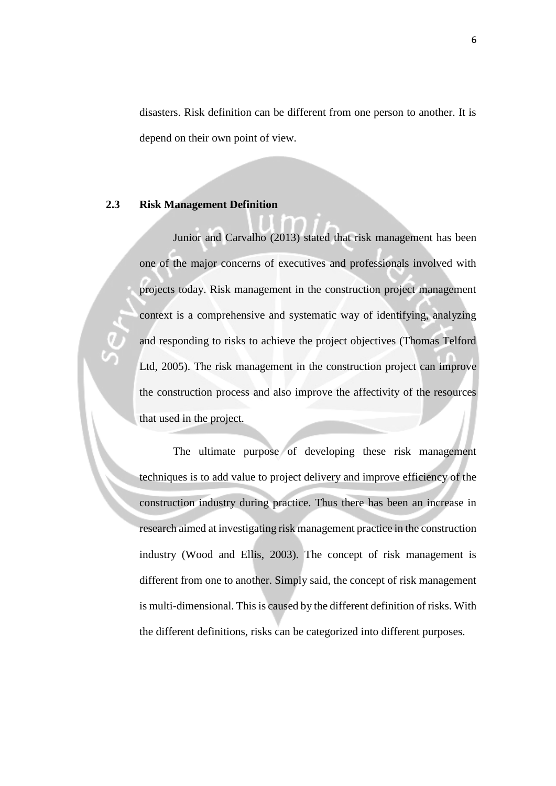disasters. Risk definition can be different from one person to another. It is depend on their own point of view.

#### **2.3 Risk Management Definition**

Junior and Carvalho (2013) stated that risk management has been one of the major concerns of executives and professionals involved with projects today. Risk management in the construction project management context is a comprehensive and systematic way of identifying, analyzing and responding to risks to achieve the project objectives (Thomas Telford Ltd, 2005). The risk management in the construction project can improve the construction process and also improve the affectivity of the resources that used in the project.

The ultimate purpose of developing these risk management techniques is to add value to project delivery and improve efficiency of the construction industry during practice. Thus there has been an increase in research aimed at investigating risk management practice in the construction industry (Wood and Ellis, 2003). The concept of risk management is different from one to another. Simply said, the concept of risk management is multi-dimensional. This is caused by the different definition of risks. With the different definitions, risks can be categorized into different purposes.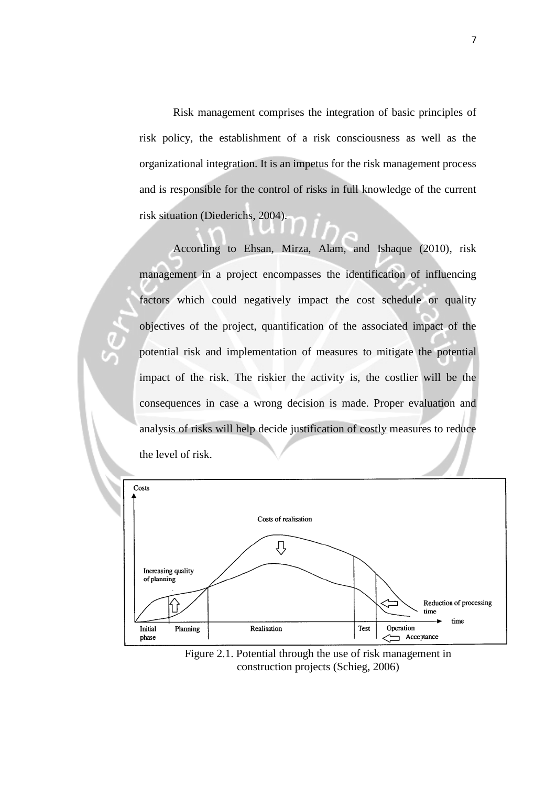Risk management comprises the integration of basic principles of risk policy, the establishment of a risk consciousness as well as the organizational integration. It is an impetus for the risk management process and is responsible for the control of risks in full knowledge of the current risk situation (Diederichs, 2004).

According to Ehsan, Mirza, Alam, and Ishaque (2010), risk management in a project encompasses the identification of influencing factors which could negatively impact the cost schedule or quality objectives of the project, quantification of the associated impact of the potential risk and implementation of measures to mitigate the potential impact of the risk. The riskier the activity is, the costlier will be the consequences in case a wrong decision is made. Proper evaluation and analysis of risks will help decide justification of costly measures to reduce the level of risk.



Figure 2.1. Potential through the use of risk management in construction projects (Schieg, 2006)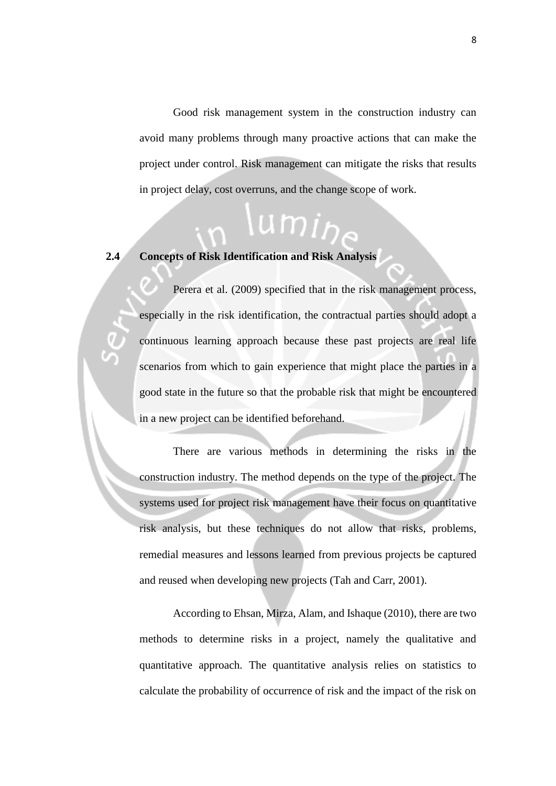Good risk management system in the construction industry can avoid many problems through many proactive actions that can make the project under control. Risk management can mitigate the risks that results in project delay, cost overruns, and the change scope of work.

umir

# **2.4 Concepts of Risk Identification and Risk Analysis**

Perera et al. (2009) specified that in the risk management process, especially in the risk identification, the contractual parties should adopt a continuous learning approach because these past projects are real life scenarios from which to gain experience that might place the parties in a good state in the future so that the probable risk that might be encountered in a new project can be identified beforehand.

There are various methods in determining the risks in the construction industry. The method depends on the type of the project. The systems used for project risk management have their focus on quantitative risk analysis, but these techniques do not allow that risks, problems, remedial measures and lessons learned from previous projects be captured and reused when developing new projects (Tah and Carr, 2001).

According to Ehsan, Mirza, Alam, and Ishaque (2010), there are two methods to determine risks in a project, namely the qualitative and quantitative approach. The quantitative analysis relies on statistics to calculate the probability of occurrence of risk and the impact of the risk on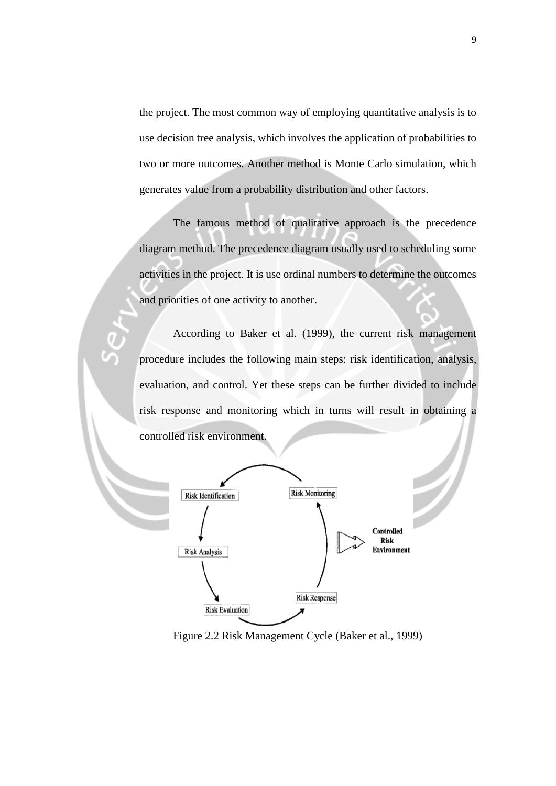the project. The most common way of employing quantitative analysis is to use decision tree analysis, which involves the application of probabilities to two or more outcomes. Another method is Monte Carlo simulation, which generates value from a probability distribution and other factors.

The famous method of qualitative approach is the precedence diagram method. The precedence diagram usually used to scheduling some activities in the project. It is use ordinal numbers to determine the outcomes and priorities of one activity to another.

According to Baker et al. (1999), the current risk management procedure includes the following main steps: risk identification, analysis, evaluation, and control. Yet these steps can be further divided to include risk response and monitoring which in turns will result in obtaining a controlled risk environment.



Figure 2.2 Risk Management Cycle (Baker et al., 1999)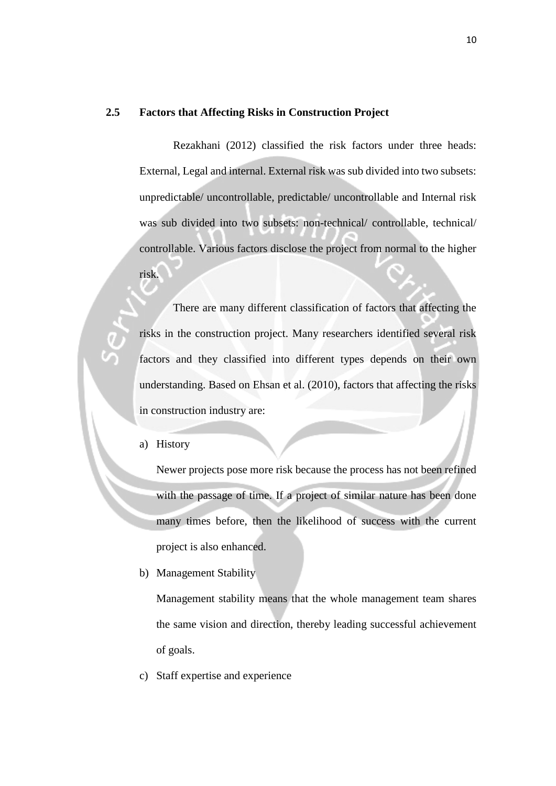## **2.5 Factors that Affecting Risks in Construction Project**

Rezakhani (2012) classified the risk factors under three heads: External, Legal and internal. External risk was sub divided into two subsets: unpredictable/ uncontrollable, predictable/ uncontrollable and Internal risk was sub divided into two subsets: non-technical/ controllable, technical/ controllable. Various factors disclose the project from normal to the higher risk.

There are many different classification of factors that affecting the risks in the construction project. Many researchers identified several risk factors and they classified into different types depends on their own understanding. Based on Ehsan et al. (2010), factors that affecting the risks in construction industry are:

a) History

Newer projects pose more risk because the process has not been refined with the passage of time. If a project of similar nature has been done many times before, then the likelihood of success with the current project is also enhanced.

b) Management Stability

Management stability means that the whole management team shares the same vision and direction, thereby leading successful achievement of goals.

c) Staff expertise and experience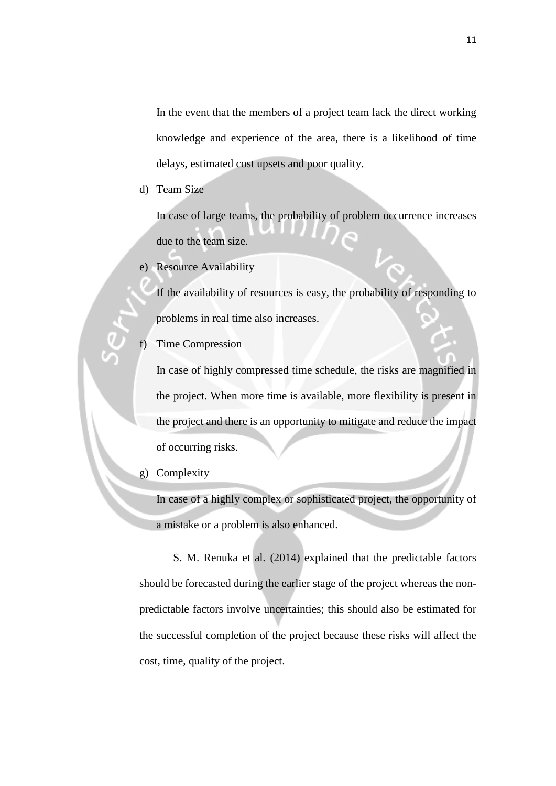In the event that the members of a project team lack the direct working knowledge and experience of the area, there is a likelihood of time delays, estimated cost upsets and poor quality.

d) Team Size

In case of large teams, the probability of problem occurrence increases due to the team size.

e) Resource Availability

If the availability of resources is easy, the probability of responding to problems in real time also increases.

Time Compression

In case of highly compressed time schedule, the risks are magnified in the project. When more time is available, more flexibility is present in the project and there is an opportunity to mitigate and reduce the impact of occurring risks.

g) Complexity

In case of a highly complex or sophisticated project, the opportunity of a mistake or a problem is also enhanced.

 S. M. Renuka et al. (2014) explained that the predictable factors should be forecasted during the earlier stage of the project whereas the nonpredictable factors involve uncertainties; this should also be estimated for the successful completion of the project because these risks will affect the cost, time, quality of the project.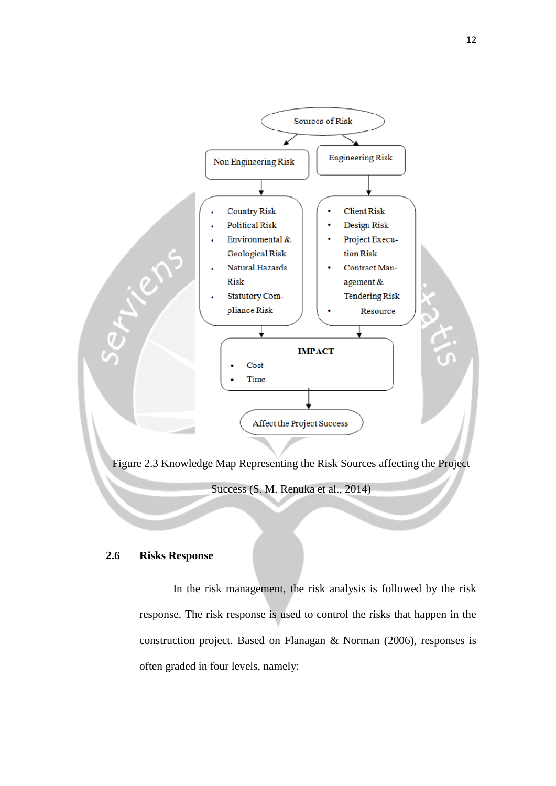

## **2.6 Risks Response**

 In the risk management, the risk analysis is followed by the risk response. The risk response is used to control the risks that happen in the construction project. Based on Flanagan & Norman (2006), responses is often graded in four levels, namely: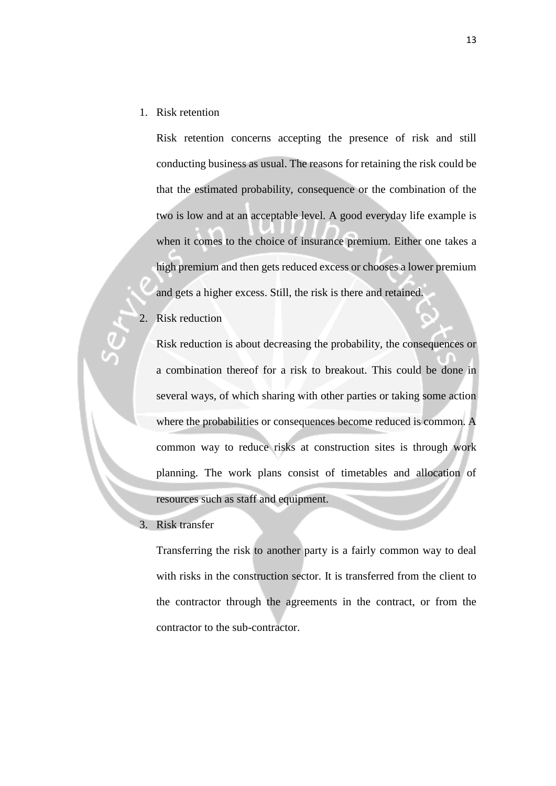1. Risk retention

Risk retention concerns accepting the presence of risk and still conducting business as usual. The reasons for retaining the risk could be that the estimated probability, consequence or the combination of the two is low and at an acceptable level. A good everyday life example is when it comes to the choice of insurance premium. Either one takes a high premium and then gets reduced excess or chooses a lower premium and gets a higher excess. Still, the risk is there and retained.

2. Risk reduction

Risk reduction is about decreasing the probability, the consequences or a combination thereof for a risk to breakout. This could be done in several ways, of which sharing with other parties or taking some action where the probabilities or consequences become reduced is common. A common way to reduce risks at construction sites is through work planning. The work plans consist of timetables and allocation of resources such as staff and equipment.

3. Risk transfer

Transferring the risk to another party is a fairly common way to deal with risks in the construction sector. It is transferred from the client to the contractor through the agreements in the contract, or from the contractor to the sub-contractor.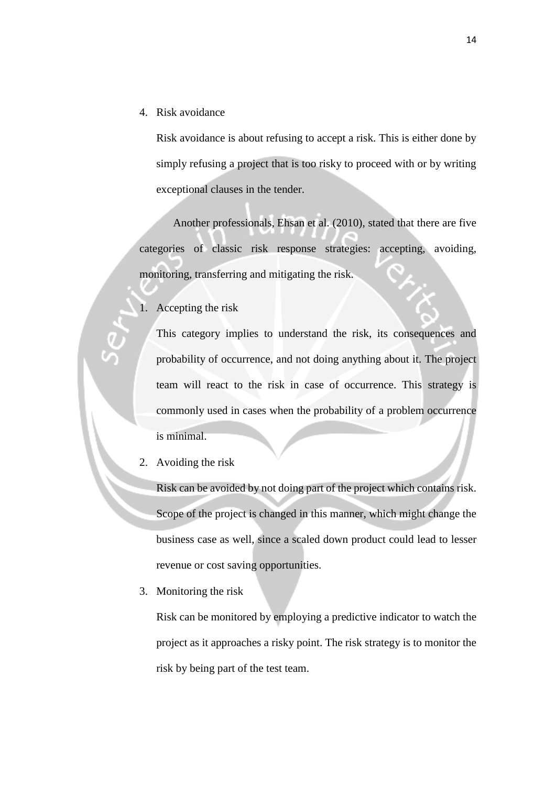4. Risk avoidance

Risk avoidance is about refusing to accept a risk. This is either done by simply refusing a project that is too risky to proceed with or by writing exceptional clauses in the tender.

 Another professionals, Ehsan et al. (2010), stated that there are five categories of classic risk response strategies: accepting, avoiding, monitoring, transferring and mitigating the risk.

1. Accepting the risk

This category implies to understand the risk, its consequences and probability of occurrence, and not doing anything about it. The project team will react to the risk in case of occurrence. This strategy is commonly used in cases when the probability of a problem occurrence is minimal.

2. Avoiding the risk

Risk can be avoided by not doing part of the project which contains risk. Scope of the project is changed in this manner, which might change the business case as well, since a scaled down product could lead to lesser revenue or cost saving opportunities.

3. Monitoring the risk

Risk can be monitored by employing a predictive indicator to watch the project as it approaches a risky point. The risk strategy is to monitor the risk by being part of the test team.